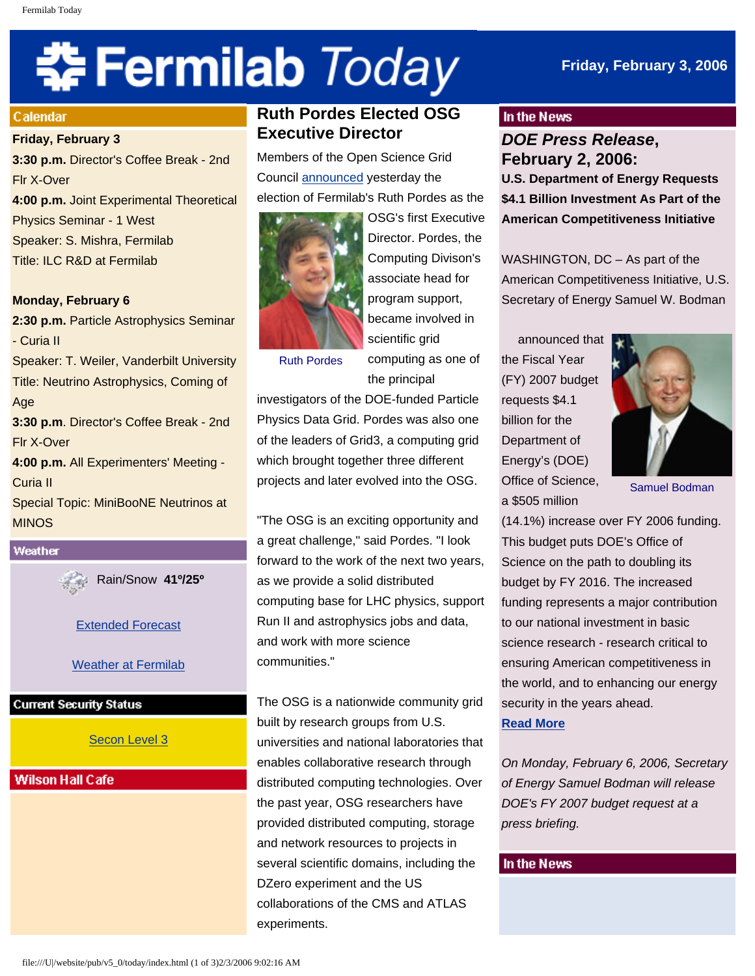# 축 Fermilab Today

## **Friday, February 3, 2006**

#### **Calendar**

#### **Friday, February 3**

**3:30 p.m.** Director's Coffee Break - 2nd Flr X-Over **4:00 p.m.** Joint Experimental Theoretical Physics Seminar - 1 West Speaker: S. Mishra, Fermilab Title: ILC R&D at Fermilab

#### **Monday, February 6**

**2:30 p.m.** Particle Astrophysics Seminar - Curia II Speaker: T. Weiler, Vanderbilt University Title: Neutrino Astrophysics, Coming of Age **3:30 p.m**. Director's Coffee Break - 2nd Flr X-Over **4:00 p.m.** All Experimenters' Meeting - Curia II Special Topic: MiniBooNE Neutrinos at MINOS



Rain/Snow **41º/25º**

[Extended Forecast](http://www.srh.noaa.gov/data/forecasts/ILZ012.php?warncounty=ILC089&city=Batavia)

[Weather at Fermilab](http://www-esh.fnal.gov/pls/default/weather.html) 

## **Current Security Status**

[Secon Level 3](http://www.fnal.gov/pub/about/public_affairs/currentstatus.html)

## **Wilson Hall Cafe**

# **Ruth Pordes Elected OSG Executive Director**

Members of the Open Science Grid Council [announced](http://www.opensciencegrid.org/index.php?option=com_content&task=view&id=143) yesterday the election of Fermilab's Ruth Pordes as the



OSG's first Executive Director. Pordes, the Computing Divison's associate head for program support, became involved in scientific grid

Ruth Pordes

computing as one of the principal

investigators of the DOE-funded Particle Physics Data Grid. Pordes was also one of the leaders of Grid3, a computing grid which brought together three different projects and later evolved into the OSG.

"The OSG is an exciting opportunity and a great challenge," said Pordes. "I look forward to the work of the next two years, as we provide a solid distributed computing base for LHC physics, support Run II and astrophysics jobs and data, and work with more science communities."

The OSG is a nationwide community grid built by research groups from U.S. universities and national laboratories that enables collaborative research through distributed computing technologies. Over the past year, OSG researchers have provided distributed computing, storage and network resources to projects in several scientific domains, including the DZero experiment and the US collaborations of the CMS and ATLAS experiments.

#### In the News

*DOE Press Release***, February 2, 2006: U.S. Department of Energy Requests \$4.1 Billion Investment As Part of the American Competitiveness Initiative** 

WASHINGTON, DC – As part of the American Competitiveness Initiative, U.S. Secretary of Energy Samuel W. Bodman

announced that the Fiscal Year (FY) 2007 budget requests \$4.1 billion for the Department of Energy's (DOE) Office of Science, a \$505 million



Samuel Bodman

(14.1%) increase over FY 2006 funding. This budget puts DOE's Office of Science on the path to doubling its budget by FY 2016. The increased funding represents a major contribution to our national investment in basic science research - research critical to ensuring American competitiveness in the world, and to enhancing our energy security in the years ahead. **[Read More](http://www.energy.gov/news/3148.htm)**

*On Monday, February 6, 2006, Secretary of Energy Samuel Bodman will release DOE's FY 2007 budget request at a press briefing.* 

#### In the News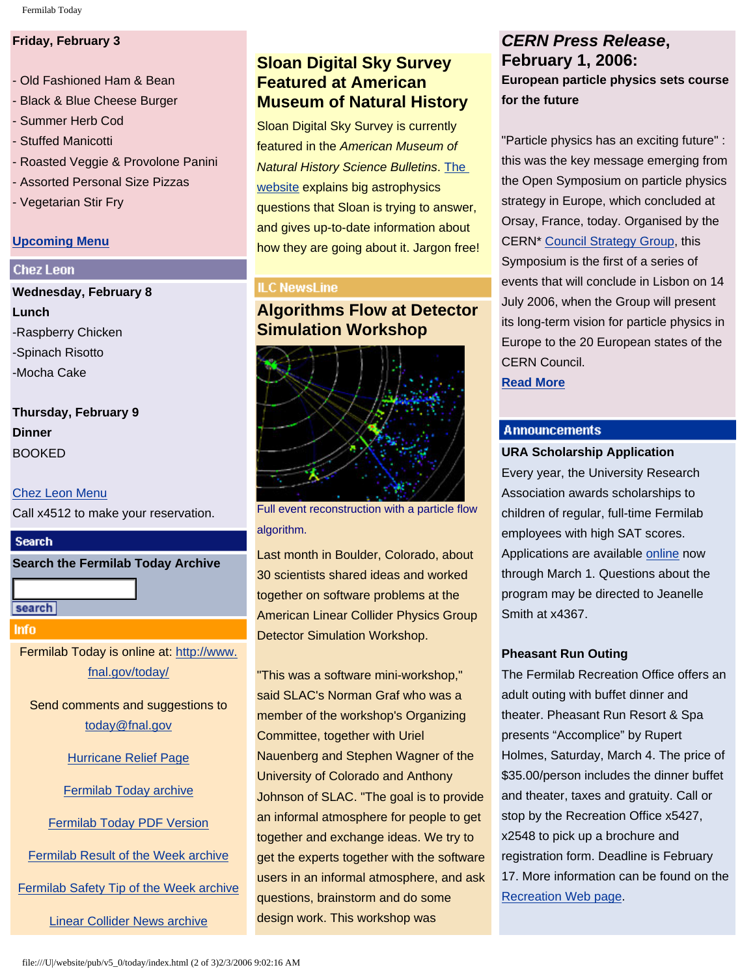#### **Friday, February 3**

- Old Fashioned Ham & Bean
- Black & Blue Cheese Burger
- Summer Herb Cod
- Stuffed Manicotti
- Roasted Veggie & Provolone Panini
- Assorted Personal Size Pizzas
- Vegetarian Stir Fry

#### **[Upcoming Menu](http://lss.fnal.gov/cafe/1-9-14.html)**

#### **Chez Leon**

**Wednesday, February 8 Lunch** -Raspberry Chicken -Spinach Risotto -Mocha Cake

**Thursday, February 9 Dinner** BOOKED

#### [Chez Leon Menu](http://lss.fnal.gov/chezleon/index.html)

Call x4512 to make your reservation.

#### **Search**

**Search the Fermilab Today Archive**

search

#### **Info**

Fermilab Today is online at: [http://www.](http://www.fnal.gov/today/) [fnal.gov/today/](http://www.fnal.gov/today/)

Send comments and suggestions to [today@fnal.gov](mailto:today@fnal.gov)

[Hurricane Relief Page](http://www.fnal.gov/pub/today/katrina_relief.html)

[Fermilab Today archive](http://www.fnal.gov/pub/today/archive.html)

[Fermilab Today PDF Version](http://www.fnal.gov/pub/today/archive.html)

[Fermilab Result of the Week archive](http://www.fnal.gov/pub/today/resultoftheweek/index.html)

[Fermilab Safety Tip of the Week archive](http://www.fnal.gov/pub/today/safety/index.html)

[Linear Collider News archive](http://www.fnal.gov/pub/today/linearcollider/index.html)

# **Sloan Digital Sky Survey Featured at American Museum of Natural History**

Sloan Digital Sky Survey is currently featured in the *American Museum of Natural History Science Bulletins*. [The](http://sciencebulletins.amnh.org/astro/f/sdss.20051208/)  [website](http://sciencebulletins.amnh.org/astro/f/sdss.20051208/) explains big astrophysics questions that Sloan is trying to answer, and gives up-to-date information about how they are going about it. Jargon free!

#### **ILC NewsLine**

# **Algorithms Flow at Detector Simulation Workshop**



Full event reconstruction with a particle flow algorithm.

Last month in Boulder, Colorado, about 30 scientists shared ideas and worked together on software problems at the American Linear Collider Physics Group Detector Simulation Workshop.

"This was a software mini-workshop," said SLAC's Norman Graf who was a member of the workshop's Organizing Committee, together with Uriel Nauenberg and Stephen Wagner of the University of Colorado and Anthony Johnson of SLAC. "The goal is to provide an informal atmosphere for people to get together and exchange ideas. We try to get the experts together with the software users in an informal atmosphere, and ask questions, brainstorm and do some design work. This workshop was

## *CERN Press Release***, February 1, 2006: European particle physics sets course for the future**

"Particle physics has an exciting future" : this was the key message emerging from the Open Symposium on particle physics strategy in Europe, which concluded at Orsay, France, today. Organised by the CERN\* [Council Strategy Group](http://council-strategygroup.web.cern.ch/council-strategygroup/), this Symposium is the first of a series of events that will conclude in Lisbon on 14 July 2006, when the Group will present its long-term vision for particle physics in Europe to the 20 European states of the CERN Council.

**[Read More](http://press.web.cern.ch/press/PressReleases/Releases2006/PR02.06E.html)**

### **Announcements**

#### **URA Scholarship Application**

Every year, the University Research Association awards scholarships to children of regular, full-time Fermilab employees with high SAT scores. Applications are available [online](http://lss.fnal.gov/section/URAscholarship.html) now through March 1. Questions about the program may be directed to Jeanelle Smith at x4367.

#### **Pheasant Run Outing**

The Fermilab Recreation Office offers an adult outing with buffet dinner and theater. Pheasant Run Resort & Spa presents "Accomplice" by Rupert Holmes, Saturday, March 4. The price of \$35.00/person includes the dinner buffet and theater, taxes and gratuity. Call or stop by the Recreation Office x5427, x2548 to pick up a brochure and registration form. Deadline is February 17. More information can be found on the [Recreation Web page](http://lss.fnal.gov/recreation/special.html).